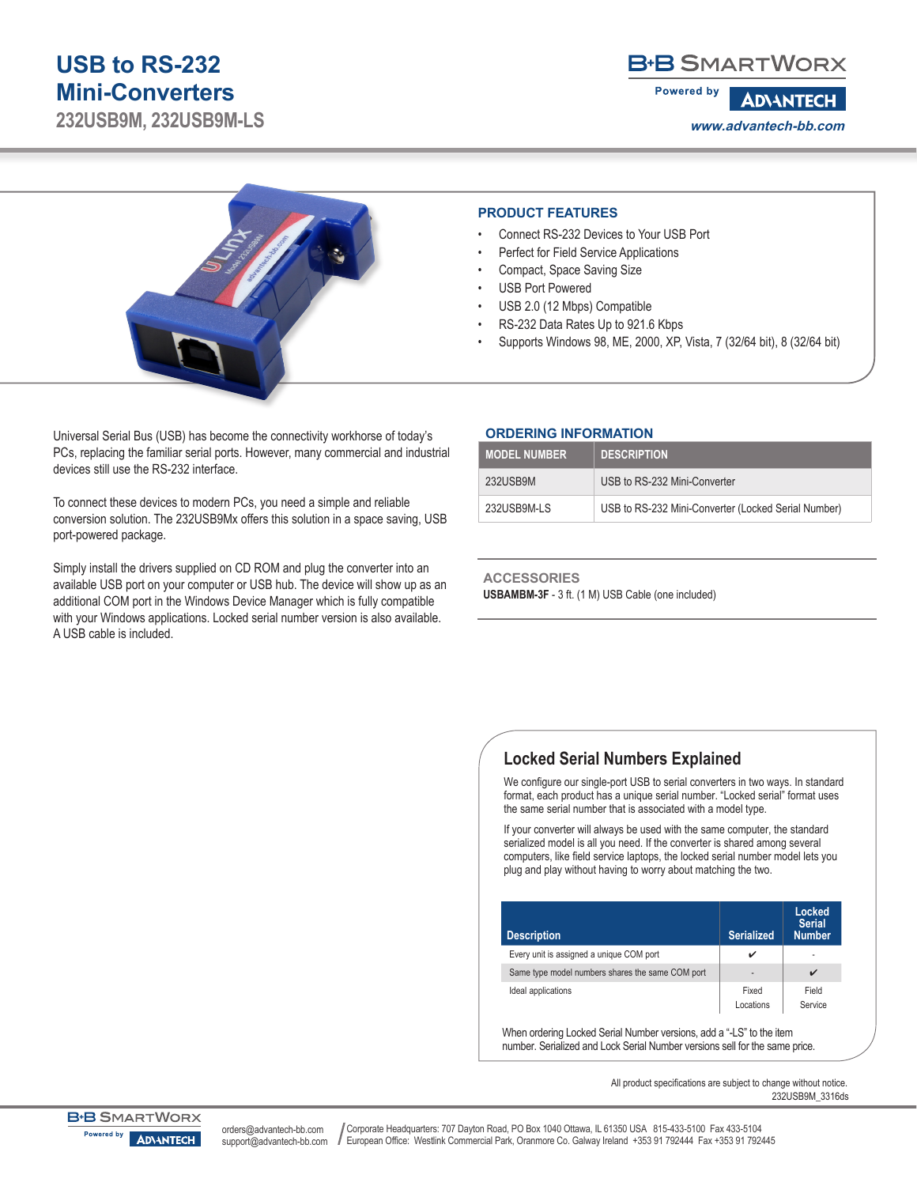# **USB to RS-232 Mini-Converters**

**232USB9M, 232USB9M-LS**

# **B-B SMARTWORX**

**Powered by ADVANTECH www.advantech-bb.com**



• Connect RS-232 Devices to Your USB Port **PRODUCT FEATURES**

- Perfect for Field Service Applications
- Compact, Space Saving Size
- USB Port Powered
- USB 2.0 (12 Mbps) Compatible
- RS-232 Data Rates Up to 921.6 Kbps
- Supports Windows 98, ME, 2000, XP, Vista, 7 (32/64 bit), 8 (32/64 bit)

Universal Serial Bus (USB) has become the connectivity workhorse of today's PCs, replacing the familiar serial ports. However, many commercial and industrial devices still use the RS-232 interface.

To connect these devices to modern PCs, you need a simple and reliable conversion solution. The 232USB9Mx offers this solution in a space saving, USB port-powered package.

Simply install the drivers supplied on CD ROM and plug the converter into an available USB port on your computer or USB hub. The device will show up as an additional COM port in the Windows Device Manager which is fully compatible with your Windows applications. Locked serial number version is also available. A USB cable is included.

#### **ORDERING INFORMATION**

| <b>MODEL NUMBER</b> | <b>DESCRIPTION</b>                                  |
|---------------------|-----------------------------------------------------|
| 232USB9M            | USB to RS-232 Mini-Converter                        |
| 232USB9M-LS         | USB to RS-232 Mini-Converter (Locked Serial Number) |

**ACCESSORIES USBAMBM-3F** - 3 ft. (1 M) USB Cable (one included)

## **Locked Serial Numbers Explained**

We configure our single-port USB to serial converters in two ways. In standard format, each product has a unique serial number. "Locked serial" format uses the same serial number that is associated with a model type.

If your converter will always be used with the same computer, the standard serialized model is all you need. If the converter is shared among several computers, like field service laptops, the locked serial number model lets you plug and play without having to worry about matching the two.

| <b>Description</b>                               | <b>Serialized</b>        | <b>Locked</b><br><b>Serial</b><br><b>Number</b> |
|--------------------------------------------------|--------------------------|-------------------------------------------------|
| Every unit is assigned a unique COM port         |                          | ۰                                               |
| Same type model numbers shares the same COM port | $\overline{\phantom{a}}$ |                                                 |
| Fixed<br>Ideal applications<br>Locations         |                          | Field<br>Service                                |

When ordering Locked Serial Number versions, add a "-LS" to the item number. Serialized and Lock Serial Number versions sell for the same price.

> All product specifications are subject to change without notice. 232USB9M\_3316ds